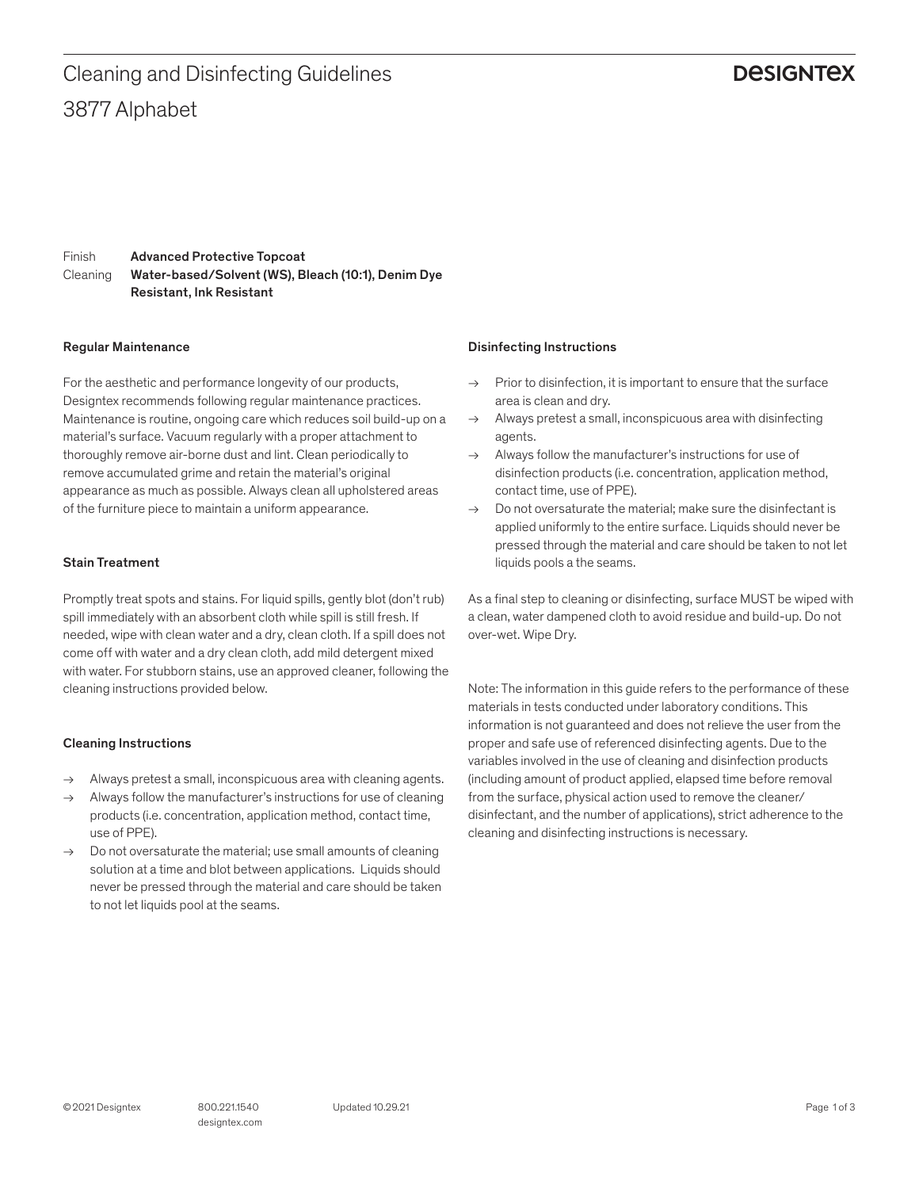# 3877 Alphabet Cleaning and Disinfecting Guidelines

## **DESIGNTEX**

Finish Cleaning Advanced Protective Topcoat Water-based/Solvent (WS), Bleach (10:1), Denim Dye Resistant, Ink Resistant

#### Regular Maintenance

For the aesthetic and performance longevity of our products, Designtex recommends following regular maintenance practices. Maintenance is routine, ongoing care which reduces soil build-up on a material's surface. Vacuum regularly with a proper attachment to thoroughly remove air-borne dust and lint. Clean periodically to remove accumulated grime and retain the material's original appearance as much as possible. Always clean all upholstered areas of the furniture piece to maintain a uniform appearance.

#### Stain Treatment

Promptly treat spots and stains. For liquid spills, gently blot (don't rub) spill immediately with an absorbent cloth while spill is still fresh. If needed, wipe with clean water and a dry, clean cloth. If a spill does not come off with water and a dry clean cloth, add mild detergent mixed with water. For stubborn stains, use an approved cleaner, following the cleaning instructions provided below.

### Cleaning Instructions

- $\rightarrow$  Always pretest a small, inconspicuous area with cleaning agents.
- $\rightarrow$  Always follow the manufacturer's instructions for use of cleaning products (i.e. concentration, application method, contact time, use of PPE).
- $\rightarrow$  Do not oversaturate the material; use small amounts of cleaning solution at a time and blot between applications. Liquids should never be pressed through the material and care should be taken to not let liquids pool at the seams.

#### Disinfecting Instructions

- $\rightarrow$  Prior to disinfection, it is important to ensure that the surface area is clean and dry.
- $\rightarrow$  Always pretest a small, inconspicuous area with disinfecting agents.
- $\rightarrow$  Always follow the manufacturer's instructions for use of disinfection products (i.e. concentration, application method, contact time, use of PPE).
- $\rightarrow$  Do not oversaturate the material: make sure the disinfectant is applied uniformly to the entire surface. Liquids should never be pressed through the material and care should be taken to not let liquids pools a the seams.

As a final step to cleaning or disinfecting, surface MUST be wiped with a clean, water dampened cloth to avoid residue and build-up. Do not over-wet. Wipe Dry.

Note: The information in this guide refers to the performance of these materials in tests conducted under laboratory conditions. This information is not guaranteed and does not relieve the user from the proper and safe use of referenced disinfecting agents. Due to the variables involved in the use of cleaning and disinfection products (including amount of product applied, elapsed time before removal from the surface, physical action used to remove the cleaner/ disinfectant, and the number of applications), strict adherence to the cleaning and disinfecting instructions is necessary.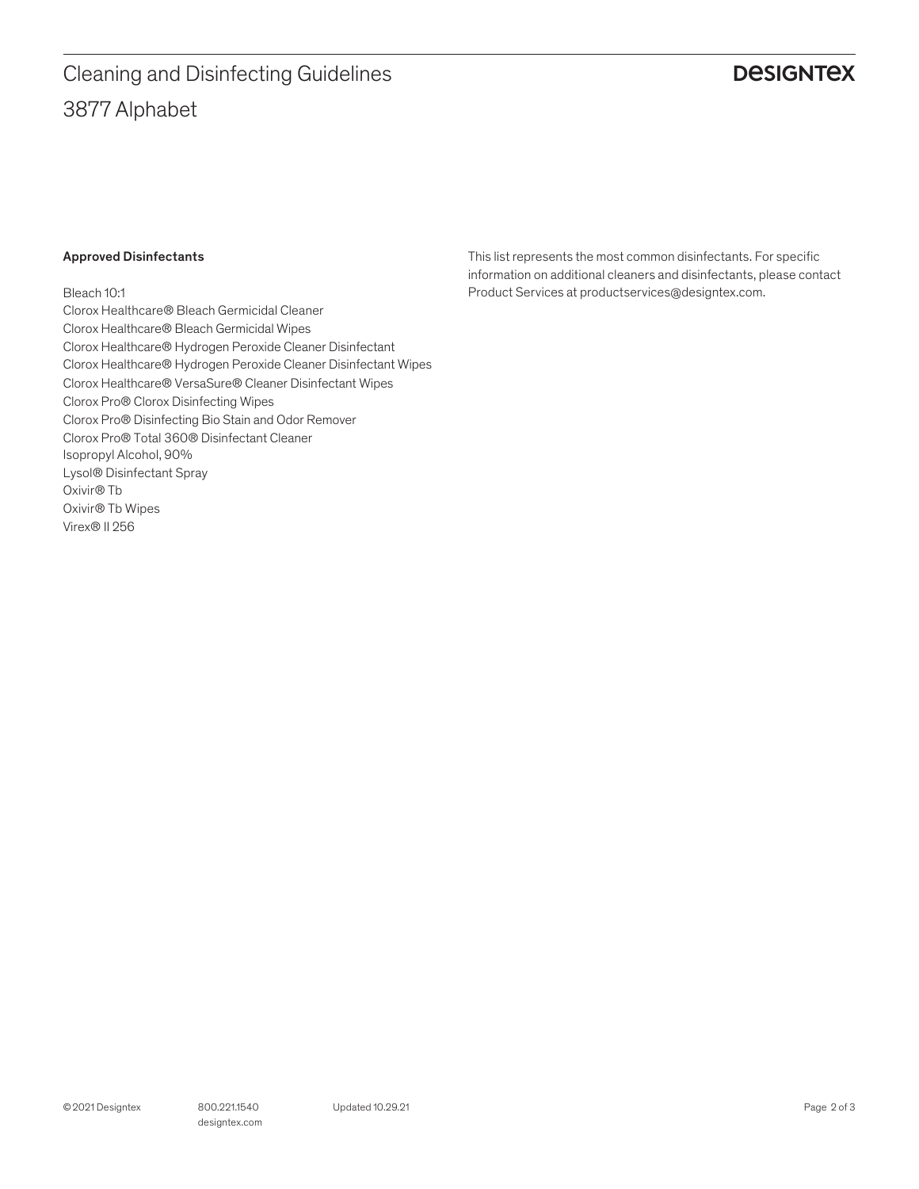# 3877 Alphabet Cleaning and Disinfecting Guidelines

# **DESIGNTEX**

## Approved Disinfectants

Bleach 10:1 Clorox Healthcare® Bleach Germicidal Cleaner Clorox Healthcare® Bleach Germicidal Wipes Clorox Healthcare® Hydrogen Peroxide Cleaner Disinfectant Clorox Healthcare® Hydrogen Peroxide Cleaner Disinfectant Wipes Clorox Healthcare® VersaSure® Cleaner Disinfectant Wipes Clorox Pro® Clorox Disinfecting Wipes Clorox Pro® Disinfecting Bio Stain and Odor Remover Clorox Pro® Total 360® Disinfectant Cleaner Isopropyl Alcohol, 90% Lysol® Disinfectant Spray Oxivir® Tb Oxivir® Tb Wipes Virex® II 256

This list represents the most common disinfectants. For specific information on additional cleaners and disinfectants, please contact Product Services at productservices@designtex.com.